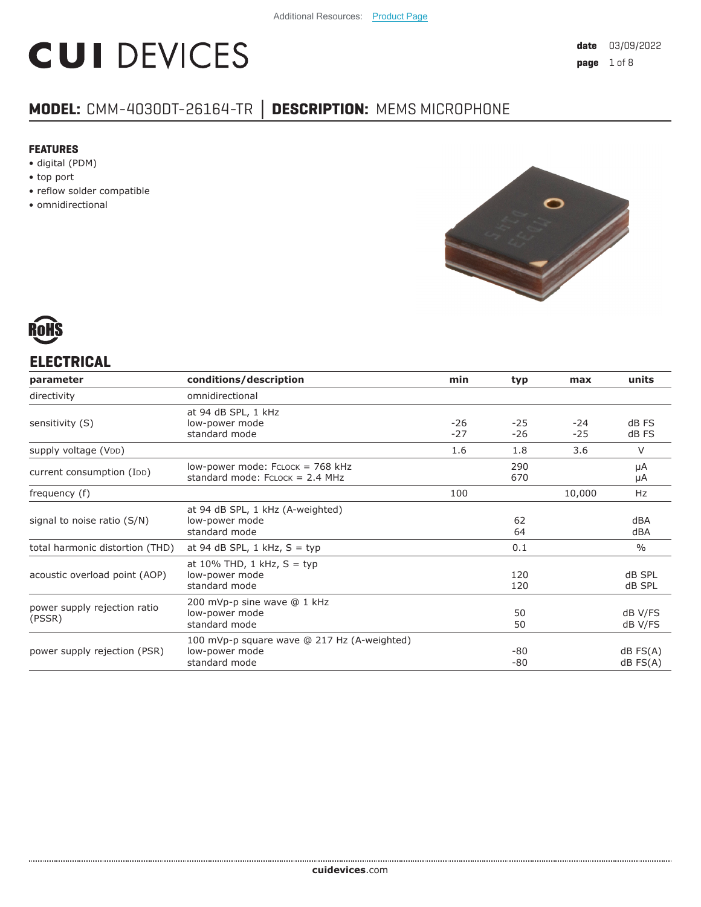# **CUI DEVICES**

# **MODEL:** CMM-4030DT-26164-TR **│ DESCRIPTION:** MEMS MICROPHONE

#### **FEATURES**

- digital (PDM)
- top port
- reflow solder compatible
- omnidirectional





# **ELECTRICAL**

| parameter                              | conditions/description                                                         | min            | typ          | max          | units                          |
|----------------------------------------|--------------------------------------------------------------------------------|----------------|--------------|--------------|--------------------------------|
| directivity                            | omnidirectional                                                                |                |              |              |                                |
| sensitivity (S)                        | at 94 dB SPL, 1 kHz<br>low-power mode<br>standard mode                         | $-26$<br>$-27$ | -25<br>$-26$ | -24<br>$-25$ | dB FS<br>dB FS                 |
| supply voltage (VDD)                   |                                                                                | 1.6            | 1.8          | 3.6          | $\vee$                         |
| current consumption (IDD)              | low-power mode: FCLOCK = 768 kHz<br>standard mode: $FCLOCK = 2.4 MHz$          |                | 290<br>670   |              | μA<br>μA                       |
| frequency (f)                          |                                                                                | 100            |              | 10,000       | Hz                             |
| signal to noise ratio (S/N)            | at 94 dB SPL, 1 kHz (A-weighted)<br>low-power mode<br>standard mode            |                | 62<br>64     |              | dBA<br>dBA                     |
| total harmonic distortion (THD)        | at 94 dB SPL, $1$ kHz, $S = typ$                                               |                | 0.1          |              | $\frac{0}{0}$                  |
| acoustic overload point (AOP)          | at 10% THD, 1 kHz, $S = typ$<br>low-power mode<br>standard mode                |                | 120<br>120   |              | dB SPL<br>dB SPL               |
| power supply rejection ratio<br>(PSSR) | 200 mVp-p sine wave @ 1 kHz<br>low-power mode<br>standard mode                 |                | 50<br>50     |              | dB V/FS<br>dB V/FS             |
| power supply rejection (PSR)           | 100 mVp-p square wave @ 217 Hz (A-weighted)<br>low-power mode<br>standard mode |                | -80<br>-80   |              | $dB$ FS $(A)$<br>$dB$ FS $(A)$ |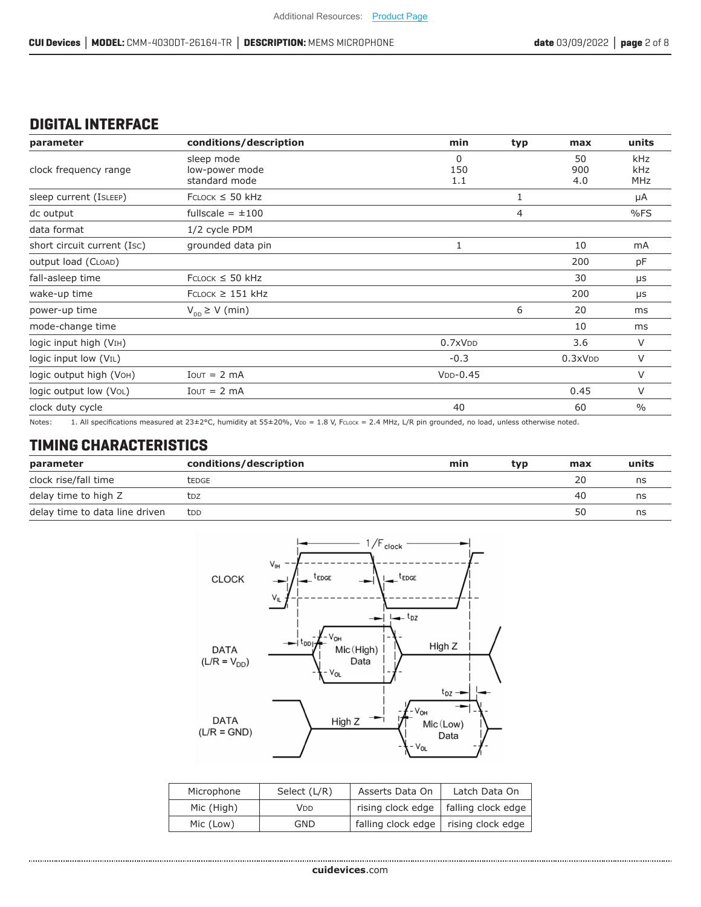# **DIGITAL INTERFACE**

| parameter                          | conditions/description                        | min                    | typ | max              | units             |
|------------------------------------|-----------------------------------------------|------------------------|-----|------------------|-------------------|
| clock frequency range              | sleep mode<br>low-power mode<br>standard mode | $\Omega$<br>150<br>1.1 |     | 50<br>900<br>4.0 | kHz<br>kHz<br>MHz |
| sleep current (ISLEEP)             | $FCLOCK \leq 50$ kHz                          |                        | 1   |                  | μA                |
| dc output                          | fullscale = $\pm 100$                         |                        | 4   |                  | %FS               |
| data format                        | 1/2 cycle PDM                                 |                        |     |                  |                   |
| short circuit current (Isc)        | grounded data pin                             | 1                      |     | 10               | mA                |
| output load (CLOAD)                |                                               |                        |     | 200              | рF                |
| fall-asleep time                   | $FCLOCK \leq 50$ kHz                          |                        |     | 30               | μs                |
| wake-up time                       | $FCLOCK \geq 151$ kHz                         |                        |     | 200              | μs                |
| power-up time                      | $V_{\text{DD}} \geq V$ (min)                  |                        | 6   | 20               | ms                |
| mode-change time                   |                                               |                        |     | 10               | ms                |
| logic input high (VIH)             |                                               | 0.7xVDD                |     | 3.6              | V                 |
| logic input low (V <sub>IL</sub> ) |                                               | $-0.3$                 |     | 0.3xVDD          | V                 |
| logic output high (Voн)            | $I$ <sub>OUT</sub> = 2 mA                     | $VDD-0.45$             |     |                  | V                 |
| logic output low (VoL)             | $I$ out = 2 mA                                |                        |     | 0.45             | V                 |
| clock duty cycle                   |                                               | 40                     |     | 60               | $\frac{0}{0}$     |

Notes: 1. All specifications measured at 23±2°C, humidity at 55±20%, V<sub>DD</sub> = 1.8 V, FcLock = 2.4 MHz, L/R pin grounded, no load, unless otherwise noted.

#### **TIMING CHARACTERISTICS**

| parameter                      | conditions/description | min | tvp | max | units |
|--------------------------------|------------------------|-----|-----|-----|-------|
| clock rise/fall time           | <b><i>LEDGE</i></b>    |     |     | 20  | ns    |
| delay time to high Z           | tdz                    |     |     | -40 | ns    |
| delay time to data line driven | <b>t</b> DD            |     |     | 50  | ns    |



| Microphone | Select (L/R) | Asserts Data On                        | Latch Data On                          |
|------------|--------------|----------------------------------------|----------------------------------------|
| Mic (High) | Vdd          |                                        | rising clock edge   falling clock edge |
| Mic (Low)  | GND          | falling clock edge   rising clock edge |                                        |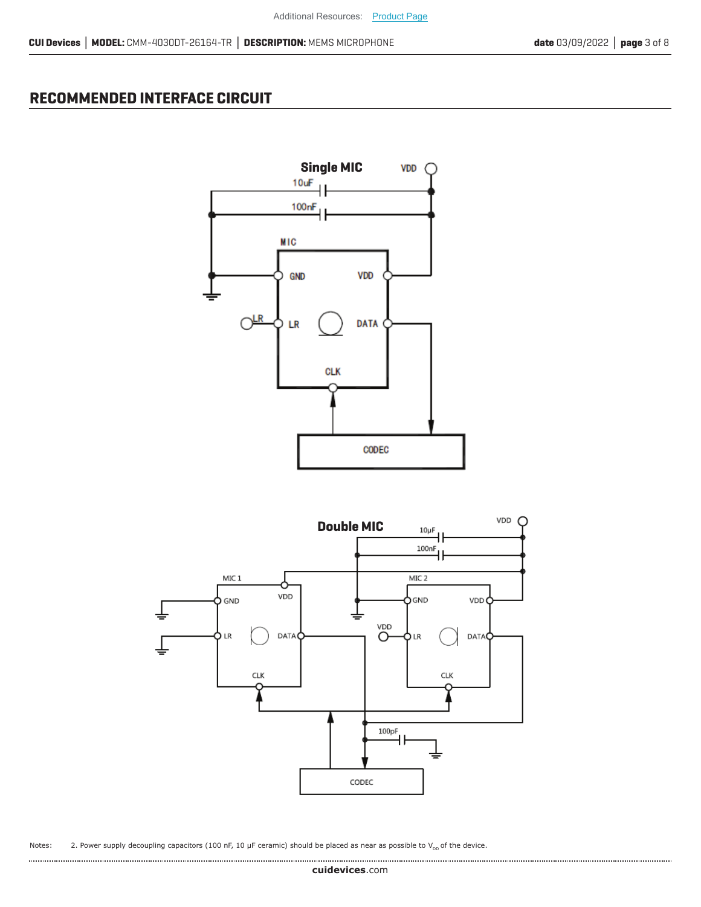### **RECOMMENDED INTERFACE CIRCUIT**





Notes: 2. Power supply decoupling capacitors (100 nF, 10  $\mu$ F ceramic) should be placed as near as possible to V<sub>DD</sub> of the device.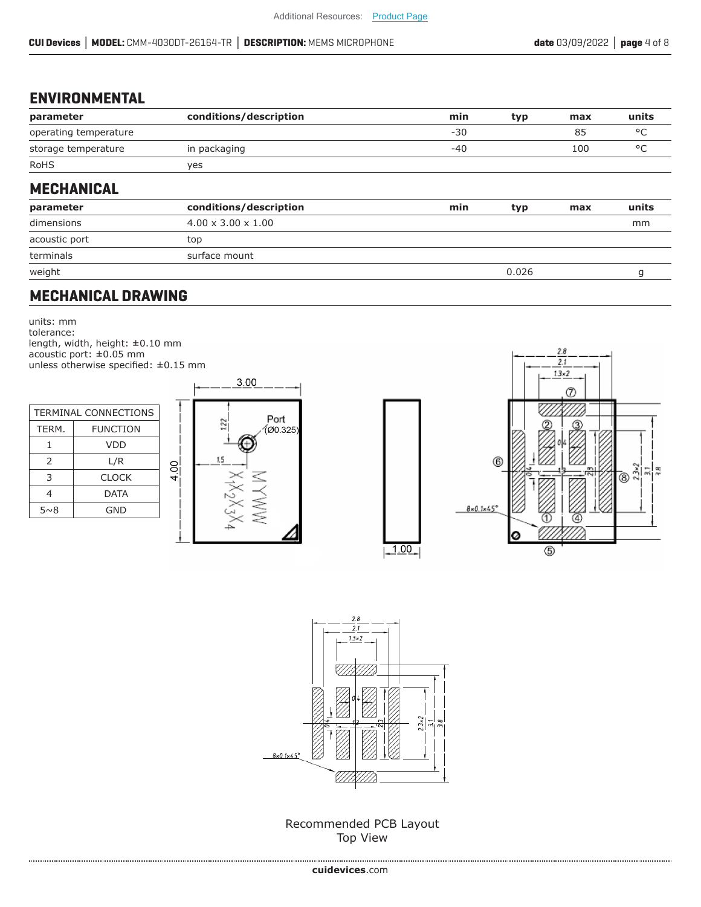## **ENVIRONMENTAL**

| parameter             | conditions/description         | min   | typ   | max | units        |
|-----------------------|--------------------------------|-------|-------|-----|--------------|
| operating temperature |                                | $-30$ |       | 85  | °C           |
| storage temperature   | in packaging                   | $-40$ |       | 100 | $^{\circ}$ C |
| <b>RoHS</b>           | yes                            |       |       |     |              |
| <b>MECHANICAL</b>     |                                |       |       |     |              |
| parameter             | conditions/description         | min   | typ   | max | units        |
| dimensions            | $4.00 \times 3.00 \times 1.00$ |       |       |     | mm           |
| acoustic port         | top                            |       |       |     |              |
| terminals             | surface mount                  |       |       |     |              |
| weight                |                                |       | 0.026 |     | g            |

### **MECHANICAL DRAWING**

units: mm tolerance: length, width, height: ±0.10 mm acoustic port: ±0.05 mm unless otherwise specified: ±0.15 mm

| <b>TERMINAL CONNECTIONS</b> |              |  |  |
|-----------------------------|--------------|--|--|
| TERM.<br><b>FUNCTION</b>    |              |  |  |
| 1                           | VDD          |  |  |
| $\mathcal{P}$               | L/R          |  |  |
| 3                           | <b>CLOCK</b> |  |  |
| 4                           | DATA         |  |  |
| 5~8                         | GND          |  |  |



 $4.00$ 





 $-1.00$ 

Recommended PCB Layout Top View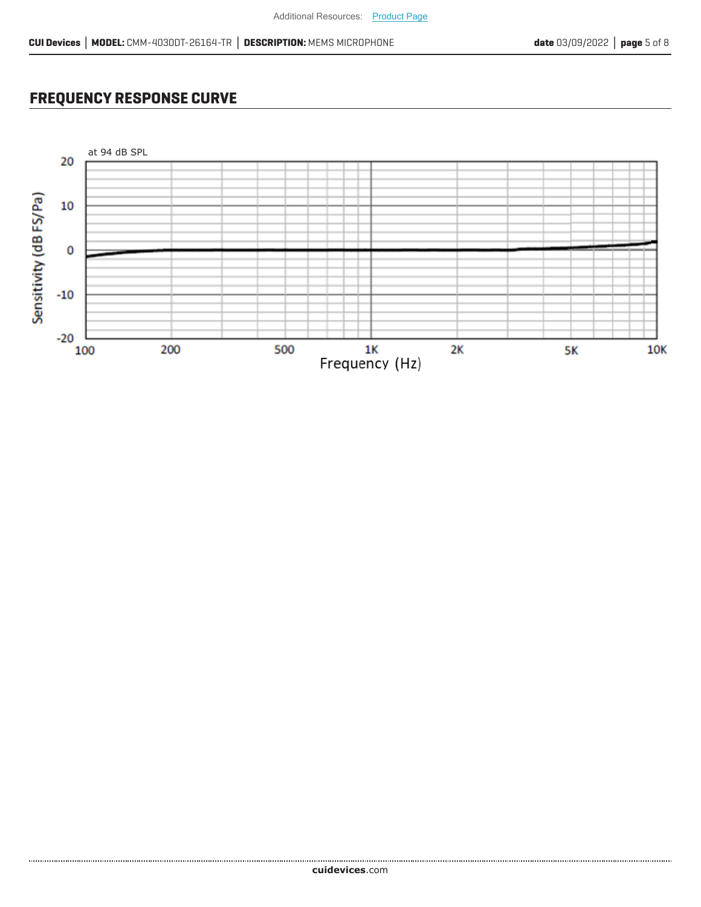# **FREQUENCY RESPONSE CURVE**

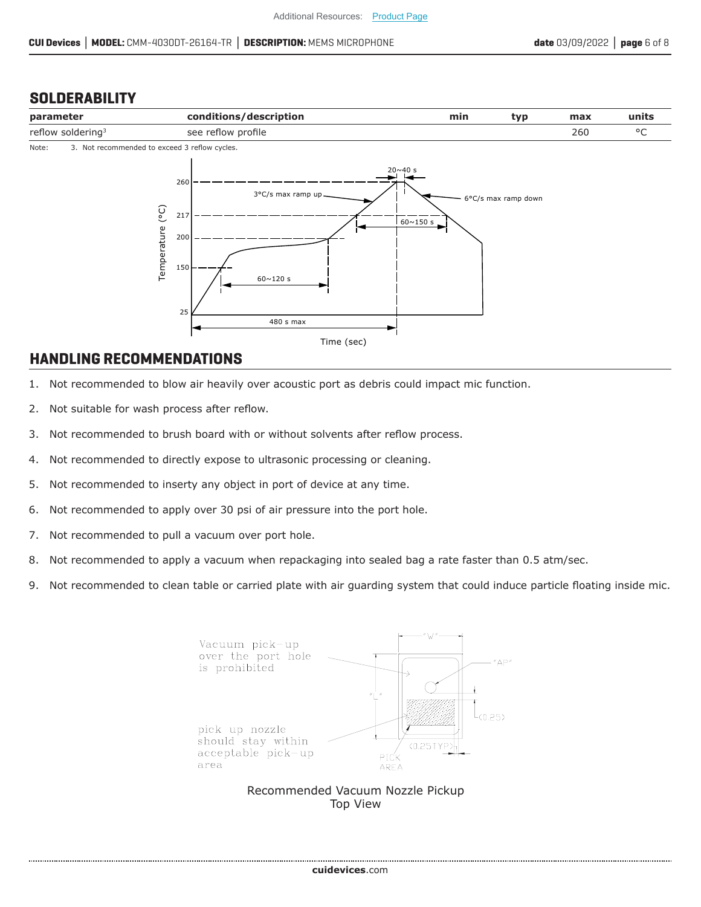#### **SOLDERABILITY**



#### **HANDLING RECOMMENDATIONS**

- 1. Not recommended to blow air heavily over acoustic port as debris could impact mic function.
- 2. Not suitable for wash process after reflow.
- 3. Not recommended to brush board with or without solvents after reflow process.
- 4. Not recommended to directly expose to ultrasonic processing or cleaning.
- 5. Not recommended to inserty any object in port of device at any time.
- 6. Not recommended to apply over 30 psi of air pressure into the port hole.
- 7. Not recommended to pull a vacuum over port hole.
- 8. Not recommended to apply a vacuum when repackaging into sealed bag a rate faster than 0.5 atm/sec.
- 9. Not recommended to clean table or carried plate with air guarding system that could induce particle floating inside mic.

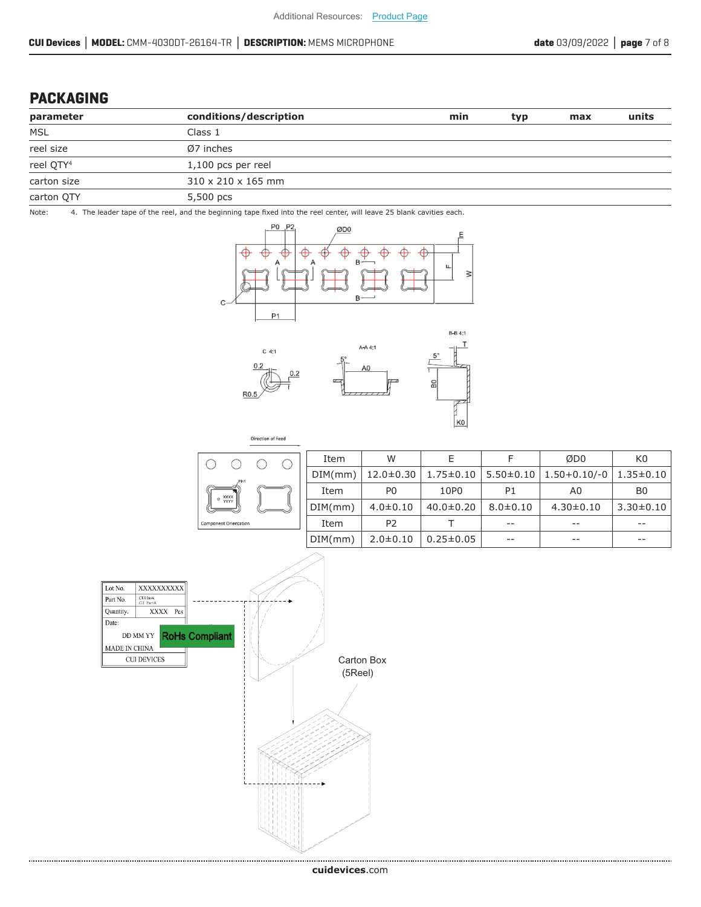#### **PACKAGING**

| parameter             | conditions/description         | min | typ | max | units |
|-----------------------|--------------------------------|-----|-----|-----|-------|
| MSL                   | Class 1                        |     |     |     |       |
| reel size             | $Ø7$ inches                    |     |     |     |       |
| reel QTY <sup>4</sup> | $1,100$ pcs per reel           |     |     |     |       |
| carton size           | $310 \times 210 \times 165$ mm |     |     |     |       |
| carton QTY            | 5,500 pcs                      |     |     |     |       |

Note: 4. The leader tape of the reel, and the beginning tape fixed into the reel center, will leave 25 blank cavities each.